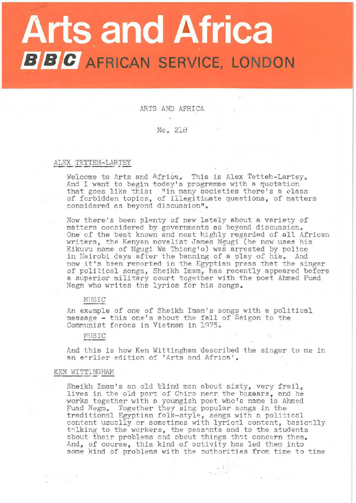# **Arts and Africa BBC** AFRICAN SERVICE, LONDON

ARTS AND AFRICA No,, 218

#### ALEX TETTEH-LARTEY

Welcome to Arts and Africa. This is Alex Tetteh-Lartey. And I want to begin today's progremme with a quotation And I want to begin today s programme with a quotation<br>that goes like this: "in many societies there's a class of forbidden topics, of illegitimate questions, of matters considered as beyond discussion".

Now there's been plenty of new lately about a variety of matters considered by governments as beyond discussion. One of the best known and most highly regarded of all African writers, the Kenyan novelist James Ngugi (he now uses his Kikuvu name of Ngugi Wa Thiong 'o) was arrested by police in Nairobi days after the banning of a play of his. And now it's been reported in the Egyptian press that the singer of political songs, Sheikh Imam, has recently appeared before a superior military court together with the poet Ahmed Fuad Negm who writes the lyrics for his songs.

#### MUSIC

An example of one of Sheikh Imam's songs with a political message - this one's about the fall of Saigon to the Communist forces in Vietnam in 1975.

#### MUSIC

And this is how Ken Wittingham described the singer to me in an earlier edition of 'Arts and Africa'.

KEN WITTINGHAM -------- -- Sheikh Imam's an old blind man nbout sixty, very frail, lives in the old part of Coiro near the bazaars, and he works together with a youngish poet who's name is Ahmed Fuad Negm. Together they sing popular songs in the traditional Egyptian folk-style, sengs with a political content usually or sometimes with lyrical content, basically thing to the workers, the peasants and to the students about their problems and about things that concern them. And, of course, this kind of activity has led them into some kind of problems with the authorities from time to time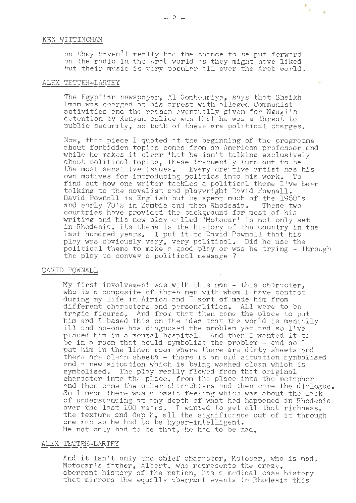#### KEN WITTINGHAM

so they haven't really had the chance to be put forward on the radio in the Arab world as they might have liked but their music is very popular all over the Arab world,

 $\sim$  .

#### ALEX TETTEH-LARTEY

The Egyption newspaper, Al Gomhouriya, says that Sheikh Imam was charged at his arrest with alleged Communist activities and the reason eventually given for Ngugi's detention by Kenyan police was that he was a threat to public security, so both of these are political charges.

Now, that piece I quoted at the beginning of the programme about forbidden topics comes from an American professor and while he makes it clear that he isn't talking exclusively about political topics, these frequently turn out to be the most sensitive issues. Every creative artist has Every creative artist has his own motives for introducing politics into his work. To and motives for increducing politics into mis work, it this sat how one witter theories a political theme invested David Pownall is English but he spent much of the 1960's and early 70's in Zambia and then Rhodesia. These two countries have provided the background for most of his writing and his new play called 'Motocar' is not only set in Rhodesia, its theme is the history of the country in the in Rhouesia, its theme is the history of the country in<br>last hundred years. I put it to David Pownall that his play wos obviously very, very political. Did he use the political theme to make a good play or was he trying - through the play to convey a political message?

#### DAVID POWNALL

My first involvement was with this man - this character, who is a composite of three men with whom I have contact during my life in Africa and I sort of made him from different characters and personalities. All were to be tragic figures, And from that then come the place to put<br>him and I based this on the idea that the world is mentally ill and no-one has diagnosed the problem yet and so I've placed him in a mental hospitol. And then I wanted it to be in a room that could symbolise the problem  $-$  and so I put him in the linen room where there are dirty sheets and there are cleon sheets  $\sim$  there is an old situation symbolised and a new situation which is being washed clean which is symbolised. The ploy really flowed from that original character into the place, from the place into the metephor and then come the other charachters and then come the dialogue. So I mean there was a basic feeling which was about the lack of understanding at any depth of what had happened in Rhodesia over the last 100 years. I wanted to get all that richness, the texture and depth, all the significance out of it through one man so he had to be hyper-intelligent, He not only had to be that, he had to be mad.

# ALEX TETTEH-LARTEY

And it isn't only the chief character, Motocar, who is mad. Motocar's father, Albert, who represents the crazy, aberrant history of the nation, hos a medical case history that mirrors the equally aberrant events in Rhodesia this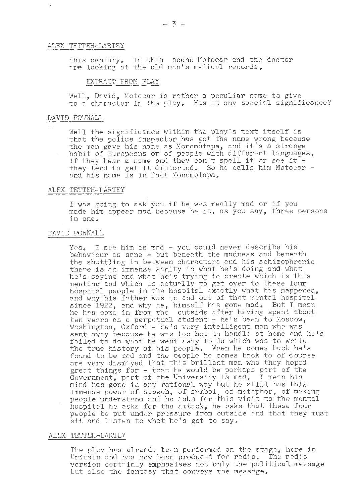#### ALEX TETTEH-LARTEY

this century. In this scene Motocar and the doctor are looking at the old man's medical records.

## EXTRACT FROM PLAY

Well, David, Motocar is rather a peculiar name to give to a character in the play. Has it any special significance?

#### DAVID POWNALL

Well the significance within the play's text itself is that the police inspector has got the name wrong because the man gave his name as Monomotapa, and it's a strange habit of Europeens or of people with different languages, if they hear a name and they can't spell it or see it they tend to get it distorted. So he calls him Motocar and his nome is in fact Monomotapa.

#### ALEX TETTEH-LARTEY

I was going to ask you if he was really mad or if you made him appear mad becouse he is, as you say, three persons in one.

#### DAVID POWNALL

Yes. I see him as mod - you could never describe his behaviour as sane - but beneath the madness and beneath the shuttling in between characters and his schizophrenia there is an immense sanity in what he's doing and what he's saying and what he's trying to create which is this meeting and which is acturlly to get over to these four hospital people in the hospital exactly what has happened, and why his fother was in and out of that mental hospital since 1922, and why he, himself has gone mad. But I mean<br>he has come in from the outside after having spent about ten years as a perpetual student - he's been to Moscow, Washington, Oxford - he's very intelligent man who was sent away because he wis too hot to handle at home and he's foiled to do what he went away to do which was to write the true history of his people. When he comes bock he's found to be mod and the people he comes back to of course are very dismayed that this brillant man who they hoped great things for - that he would be perhaps part of the Government, part of the University is mad. I menn his mind has gone in any rational way but he still has this immense power of speech, of symbol, of metaphor, of making<br>people understand and he asks for this visit to the mental hospital he asks for the attack, he asks that these four people be put under pressure from outside and that they must sit and listen to what he's got to say.

#### ALEX TETTEH-LARTEY

The play has already been performed on the stage, here in Britain and has now been produced for radio. The radio version cert inly emphasises not only the political message but also the fantasy that conveys the message.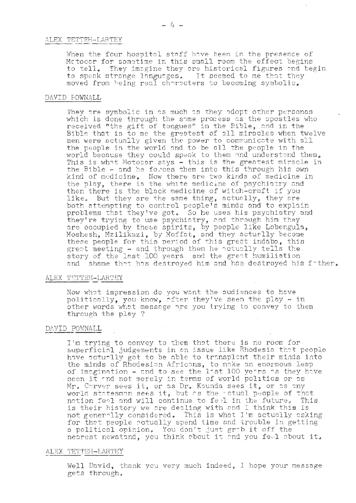#### ALEX TETTEH-LARTEY

When the four hospital staff have been in the presence of Motocar for sometime in this small room the effect begins to tell. They imagine they are historical figures and begin to speak strange languages, It seemed to me that they moved from being real characters to becoming symbolic.

#### DAVID FOWNALL

They are symbolic in as much as they adopt other personas which is done through the some process as the apostles who received "the gift of tongues" in the Bible, and in the Bible that is to me the greatest of all miracles when twelve men were actually given the power to communicate with all the people in the world and to be all the people in the world because they could speak to them and understand them. This is what Motocar says - this is the greatest miracle in the Bible - and he forces them into this through his own kind of medicine. Now there are two kinds of medicine in the play, there is the white medicine of psychiatry and then there is the black medicine of witch-craft if you But they are the same thing, actually, they are like, both attempting to control people's minds and to explain problems that they've got, So he uses his psychiatry and they're trying to use psychiatry, and through him they are occupied by these spirits, by people like Lobengula, Moshesh, Mzilikazi, by Moffat, and they acturlly become these people for this period of this great indabs, this grept meeting - and through them he actually tells the story of the last 100 years and the great humiliation and shame that has destroyed him and has destroyed his father.

#### ALEX TETTEH-LARTEY

Now what impression do you want the audiences to have politically, you know, ofter they've seen the play - in other words what message are you trying to convey to them through the play ?

#### DAVID POWNALL

I'm trying to convey to them that there is no room for superficial judgements in an issue like Rhodesia that people have actually got to be able to transplant their minds into the minds of Rhodesian Africans, to make an enormous leap of imagination - and to see the last 100 years as they have seen it and not merely in terms of world politics or as Mr. Corver sees it, or as Dr. Kounda sees it, or as any world statesman sees it, but as the actual people of that nation feel and will continue to feel in the future. This is their history we are dealing with and I think this is not generally considered. This is what I'm actually asking for that people potually spend time and trouble in getting a political opinion. You don't just grab it off the nearest newstand, you think about it and you feel about it.

### ALEX TETTEH-LARTEY

Well David, thank you very much indeed, I hope your message gets through.